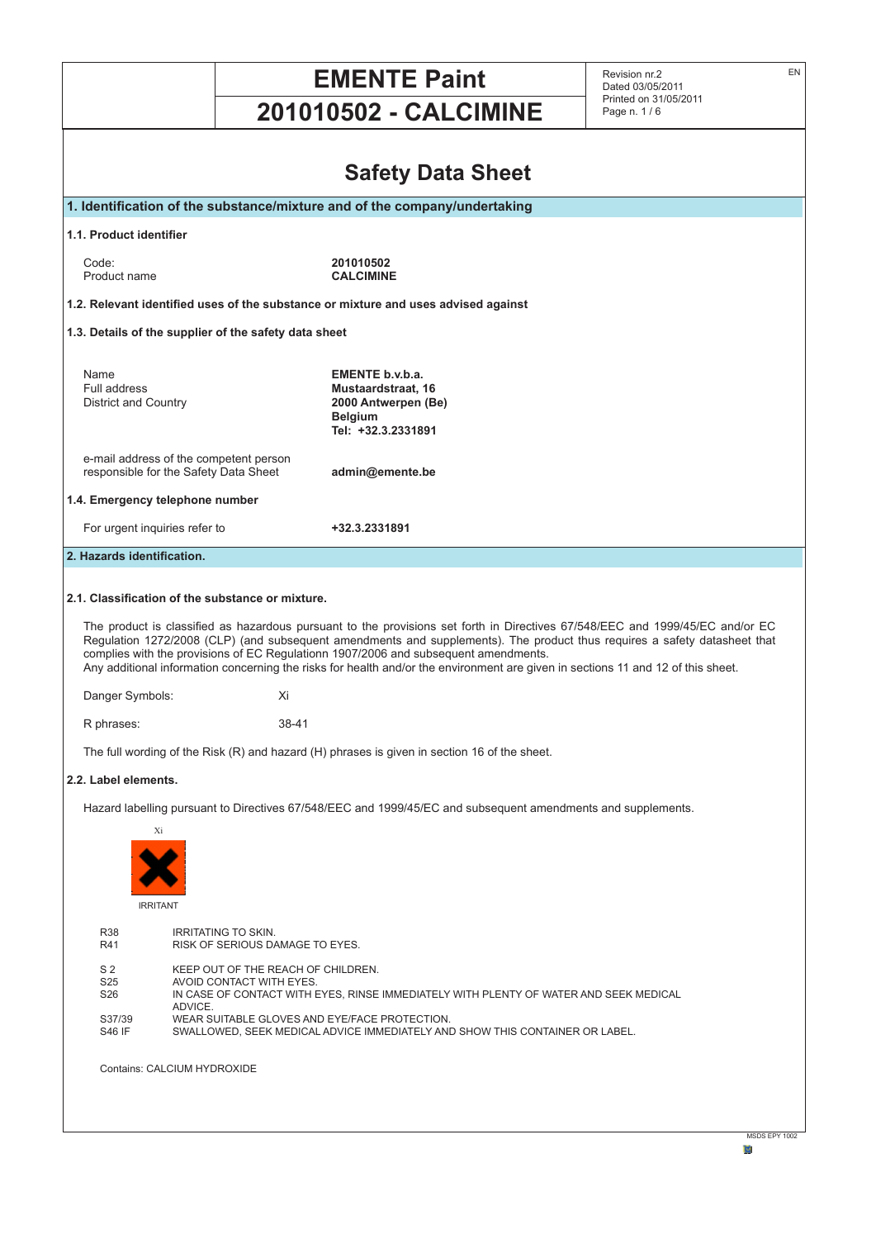|                                                                                                                                                          |                                                                                                                                                                    | <b>EMENTE Paint</b><br><b>201010502 - CALCIMINE</b>                                                                                                                                                                     | EN<br>Revision nr.2<br>Dated 03/05/2011<br>Printed on 31/05/2011<br>Page n. 1/6                                                                                                                                                                            |
|----------------------------------------------------------------------------------------------------------------------------------------------------------|--------------------------------------------------------------------------------------------------------------------------------------------------------------------|-------------------------------------------------------------------------------------------------------------------------------------------------------------------------------------------------------------------------|------------------------------------------------------------------------------------------------------------------------------------------------------------------------------------------------------------------------------------------------------------|
|                                                                                                                                                          |                                                                                                                                                                    |                                                                                                                                                                                                                         |                                                                                                                                                                                                                                                            |
| <b>Safety Data Sheet</b>                                                                                                                                 |                                                                                                                                                                    |                                                                                                                                                                                                                         |                                                                                                                                                                                                                                                            |
| 1. Identification of the substance/mixture and of the company/undertaking                                                                                |                                                                                                                                                                    |                                                                                                                                                                                                                         |                                                                                                                                                                                                                                                            |
| 1.1. Product identifier                                                                                                                                  |                                                                                                                                                                    |                                                                                                                                                                                                                         |                                                                                                                                                                                                                                                            |
| Code:<br>Product name                                                                                                                                    |                                                                                                                                                                    | 201010502<br><b>CALCIMINE</b>                                                                                                                                                                                           |                                                                                                                                                                                                                                                            |
|                                                                                                                                                          |                                                                                                                                                                    | 1.2. Relevant identified uses of the substance or mixture and uses advised against                                                                                                                                      |                                                                                                                                                                                                                                                            |
|                                                                                                                                                          | 1.3. Details of the supplier of the safety data sheet                                                                                                              |                                                                                                                                                                                                                         |                                                                                                                                                                                                                                                            |
| Name<br>Full address<br><b>District and Country</b>                                                                                                      |                                                                                                                                                                    | EMENTE b.v.b.a.<br>Mustaardstraat, 16<br>2000 Antwerpen (Be)<br><b>Belgium</b><br>Tel: +32.3.2331891                                                                                                                    |                                                                                                                                                                                                                                                            |
| e-mail address of the competent person<br>responsible for the Safety Data Sheet<br>admin@emente.be                                                       |                                                                                                                                                                    |                                                                                                                                                                                                                         |                                                                                                                                                                                                                                                            |
| 1.4. Emergency telephone number                                                                                                                          |                                                                                                                                                                    |                                                                                                                                                                                                                         |                                                                                                                                                                                                                                                            |
| For urgent inquiries refer to                                                                                                                            |                                                                                                                                                                    | +32.3.2331891                                                                                                                                                                                                           |                                                                                                                                                                                                                                                            |
| 2. Hazards identification.                                                                                                                               |                                                                                                                                                                    |                                                                                                                                                                                                                         |                                                                                                                                                                                                                                                            |
|                                                                                                                                                          | 2.1. Classification of the substance or mixture.                                                                                                                   |                                                                                                                                                                                                                         |                                                                                                                                                                                                                                                            |
|                                                                                                                                                          |                                                                                                                                                                    | complies with the provisions of EC Regulationn 1907/2006 and subsequent amendments.<br>Any additional information concerning the risks for health and/or the environment are given in sections 11 and 12 of this sheet. | The product is classified as hazardous pursuant to the provisions set forth in Directives 67/548/EEC and 1999/45/EC and/or EC<br>Regulation 1272/2008 (CLP) (and subsequent amendments and supplements). The product thus requires a safety datasheet that |
| Danger Symbols:                                                                                                                                          | Xi                                                                                                                                                                 |                                                                                                                                                                                                                         |                                                                                                                                                                                                                                                            |
| R phrases:                                                                                                                                               | 38-41                                                                                                                                                              |                                                                                                                                                                                                                         |                                                                                                                                                                                                                                                            |
|                                                                                                                                                          |                                                                                                                                                                    | The full wording of the Risk (R) and hazard (H) phrases is given in section 16 of the sheet.                                                                                                                            |                                                                                                                                                                                                                                                            |
| 2.2. Label elements.                                                                                                                                     |                                                                                                                                                                    |                                                                                                                                                                                                                         |                                                                                                                                                                                                                                                            |
| Xi<br><b>IRRITANT</b>                                                                                                                                    |                                                                                                                                                                    | Hazard labelling pursuant to Directives 67/548/EEC and 1999/45/EC and subsequent amendments and supplements.                                                                                                            |                                                                                                                                                                                                                                                            |
| <b>R38</b><br>R41                                                                                                                                        | <b>IRRITATING TO SKIN.</b><br>RISK OF SERIOUS DAMAGE TO EYES.                                                                                                      |                                                                                                                                                                                                                         |                                                                                                                                                                                                                                                            |
| S <sub>2</sub><br>S <sub>25</sub><br>S <sub>26</sub>                                                                                                     | KEEP OUT OF THE REACH OF CHILDREN.<br>AVOID CONTACT WITH EYES.<br>IN CASE OF CONTACT WITH EYES, RINSE IMMEDIATELY WITH PLENTY OF WATER AND SEEK MEDICAL<br>ADVICE. |                                                                                                                                                                                                                         |                                                                                                                                                                                                                                                            |
| WEAR SUITABLE GLOVES AND EYE/FACE PROTECTION.<br>S37/39<br><b>S46 IF</b><br>SWALLOWED, SEEK MEDICAL ADVICE IMMEDIATELY AND SHOW THIS CONTAINER OR LABEL. |                                                                                                                                                                    |                                                                                                                                                                                                                         |                                                                                                                                                                                                                                                            |
| Contains: CALCIUM HYDROXIDE                                                                                                                              |                                                                                                                                                                    |                                                                                                                                                                                                                         |                                                                                                                                                                                                                                                            |
|                                                                                                                                                          |                                                                                                                                                                    |                                                                                                                                                                                                                         | MSDS EPY 1002                                                                                                                                                                                                                                              |

**M**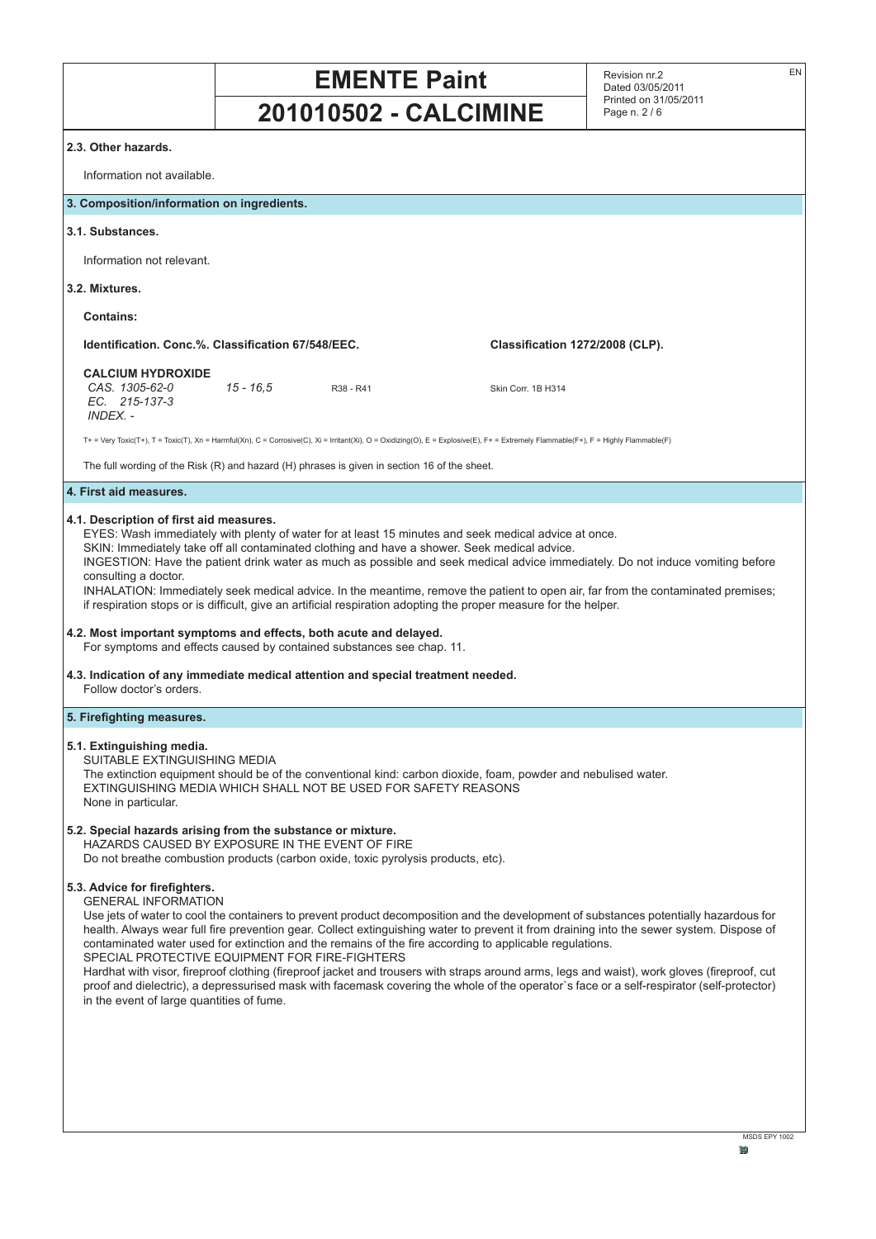

**b**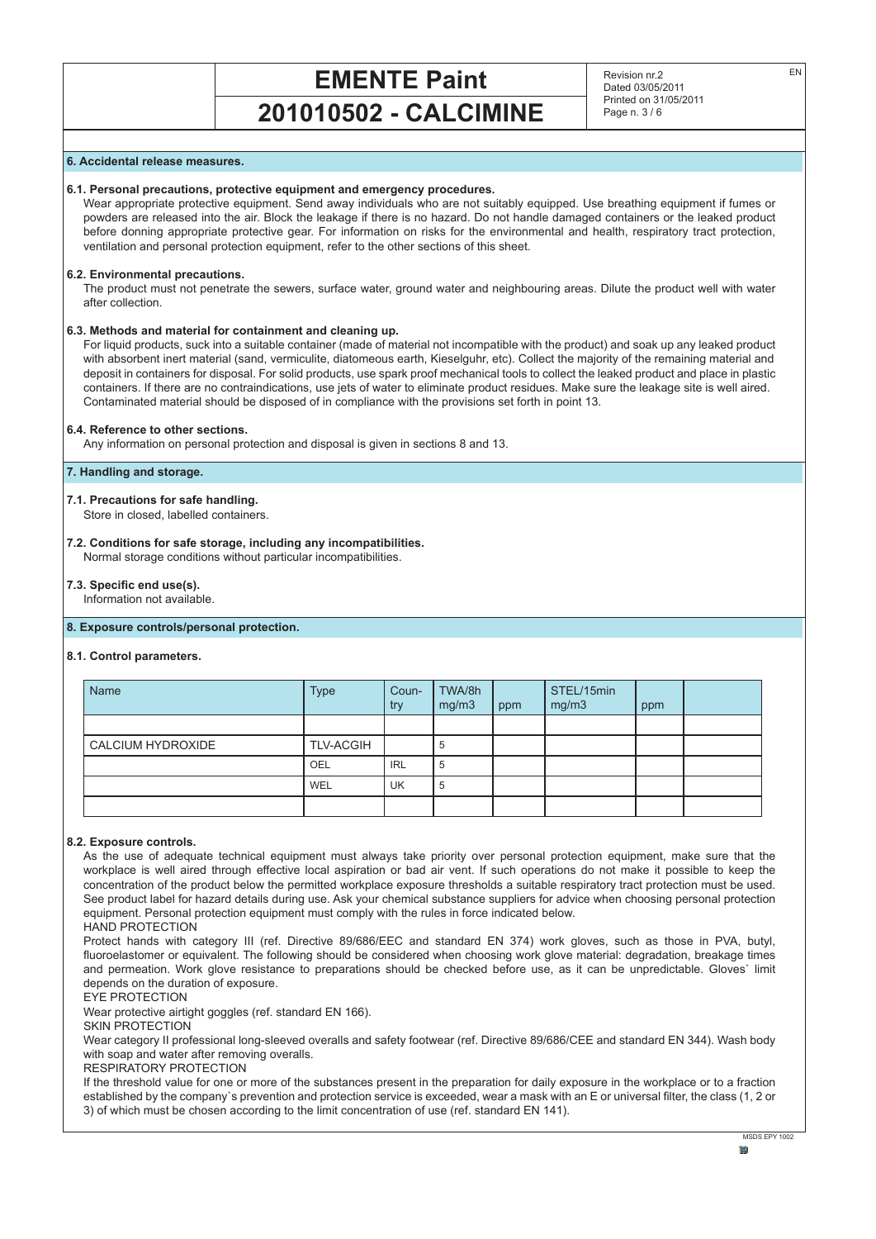# **EMENTE Paint**

# **201010502 - CALCIMINE**

Revision nr.2 Dated 03/05/2011 Printed on 31/05/2011 Page n. 3 / 6

# **6. Accidental release measures.**

# **6.1. Personal precautions, protective equipment and emergency procedures.**

Wear appropriate protective equipment. Send away individuals who are not suitably equipped. Use breathing equipment if fumes or powders are released into the air. Block the leakage if there is no hazard. Do not handle damaged containers or the leaked product before donning appropriate protective gear. For information on risks for the environmental and health, respiratory tract protection, ventilation and personal protection equipment, refer to the other sections of this sheet.

#### **6.2. Environmental precautions.**

The product must not penetrate the sewers, surface water, ground water and neighbouring areas. Dilute the product well with water after collection.

# **6.3. Methods and material for containment and cleaning up.**

For liquid products, suck into a suitable container (made of material not incompatible with the product) and soak up any leaked product with absorbent inert material (sand, vermiculite, diatomeous earth, Kieselguhr, etc). Collect the majority of the remaining material and deposit in containers for disposal. For solid products, use spark proof mechanical tools to collect the leaked product and place in plastic containers. If there are no contraindications, use jets of water to eliminate product residues. Make sure the leakage site is well aired. Contaminated material should be disposed of in compliance with the provisions set forth in point 13.

#### **6.4. Reference to other sections.**

Any information on personal protection and disposal is given in sections 8 and 13.

# **7. Handling and storage.**

#### **7.1. Precautions for safe handling.**

Store in closed, labelled containers.

#### **7.2. Conditions for safe storage, including any incompatibilities.** Normal storage conditions without particular incompatibilities.

#### **7.3. Specific end use(s).**

Information not available.

# **8. Exposure controls/personal protection.**

#### **8.1. Control parameters.**

| <b>Name</b>              | <b>Type</b>      | Coun-<br>try | TWA/8h<br>mg/m3 | ppm | STEL/15min<br>mg/m3 | ppm |  |
|--------------------------|------------------|--------------|-----------------|-----|---------------------|-----|--|
|                          |                  |              |                 |     |                     |     |  |
| <b>CALCIUM HYDROXIDE</b> | <b>TLV-ACGIH</b> |              | b               |     |                     |     |  |
|                          | OEL              | <b>IRL</b>   | 5               |     |                     |     |  |
|                          | WEL              | UK           | 5               |     |                     |     |  |
|                          |                  |              |                 |     |                     |     |  |

#### **8.2. Exposure controls.**

As the use of adequate technical equipment must always take priority over personal protection equipment, make sure that the workplace is well aired through effective local aspiration or bad air vent. If such operations do not make it possible to keep the concentration of the product below the permitted workplace exposure thresholds a suitable respiratory tract protection must be used. See product label for hazard details during use. Ask your chemical substance suppliers for advice when choosing personal protection equipment. Personal protection equipment must comply with the rules in force indicated below.

HAND PROTECTION

Protect hands with category III (ref. Directive 89/686/EEC and standard EN 374) work gloves, such as those in PVA, butyl, fluoroelastomer or equivalent. The following should be considered when choosing work glove material: degradation, breakage times and permeation. Work glove resistance to preparations should be checked before use, as it can be unpredictable. Gloves` limit depends on the duration of exposure.

EYE PROTECTION

Wear protective airtight goggles (ref. standard EN 166).

SKIN PROTECTION

Wear category II professional long-sleeved overalls and safety footwear (ref. Directive 89/686/CEE and standard EN 344). Wash body with soap and water after removing overalls.

RESPIRATORY PROTECTION

If the threshold value for one or more of the substances present in the preparation for daily exposure in the workplace or to a fraction established by the company`s prevention and protection service is exceeded, wear a mask with an E or universal filter, the class (1, 2 or 3) of which must be chosen according to the limit concentration of use (ref. standard EN 141).

EN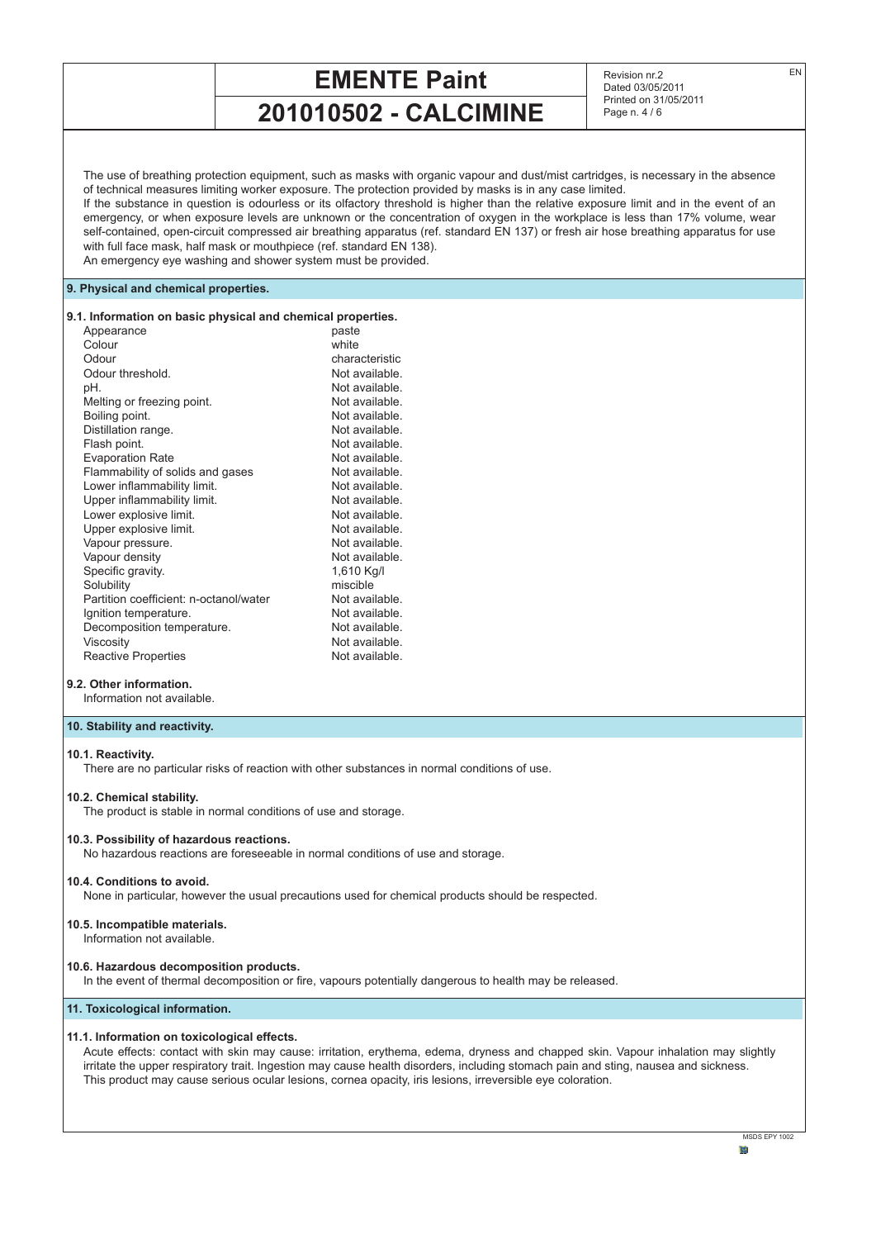# **EMENTE Paint**

**201010502 - CALCIMINE**

Revision nr.2 Dated 03/05/2011 Printed on 31/05/2011 Page n. 4 / 6

The use of breathing protection equipment, such as masks with organic vapour and dust/mist cartridges, is necessary in the absence of technical measures limiting worker exposure. The protection provided by masks is in any case limited.

If the substance in question is odourless or its olfactory threshold is higher than the relative exposure limit and in the event of an emergency, or when exposure levels are unknown or the concentration of oxygen in the workplace is less than 17% volume, wear self-contained, open-circuit compressed air breathing apparatus (ref. standard EN 137) or fresh air hose breathing apparatus for use with full face mask, half mask or mouthpiece (ref. standard EN 138).

An emergency eye washing and shower system must be provided.

# **9. Physical and chemical properties.**

#### **9.1. Information on basic physical and chemical properties.**

| Appearance                             | paste          |
|----------------------------------------|----------------|
| Colour                                 | white          |
| Odour                                  | characteristic |
| Odour threshold.                       | Not available. |
| pH.                                    | Not available. |
| Melting or freezing point.             | Not available. |
| Boiling point.                         | Not available. |
| Distillation range.                    | Not available. |
| Flash point.                           | Not available. |
| <b>Evaporation Rate</b>                | Not available. |
| Flammability of solids and gases       | Not available. |
| Lower inflammability limit.            | Not available. |
| Upper inflammability limit.            | Not available. |
| Lower explosive limit.                 | Not available. |
| Upper explosive limit.                 | Not available. |
| Vapour pressure.                       | Not available. |
| Vapour density                         | Not available. |
| Specific gravity.                      | 1,610 Kg/I     |
| Solubility                             | miscible       |
| Partition coefficient: n-octanol/water | Not available. |
| Ignition temperature.                  | Not available. |
| Decomposition temperature.             | Not available. |
| Viscosity                              | Not available. |
| <b>Reactive Properties</b>             | Not available. |

# **9.2. Other information.**

Information not available.

## **10. Stability and reactivity.**

#### **10.1. Reactivity.**

There are no particular risks of reaction with other substances in normal conditions of use.

#### **10.2. Chemical stability.**

The product is stable in normal conditions of use and storage.

#### **10.3. Possibility of hazardous reactions.**

No hazardous reactions are foreseeable in normal conditions of use and storage.

#### **10.4. Conditions to avoid.**

None in particular, however the usual precautions used for chemical products should be respected.

#### **10.5. Incompatible materials.** Information not available.

#### **10.6. Hazardous decomposition products.**

In the event of thermal decomposition or fire, vapours potentially dangerous to health may be released.

# **11. Toxicological information.**

# **11.1. Information on toxicological effects.**

Acute effects: contact with skin may cause: irritation, erythema, edema, dryness and chapped skin. Vapour inhalation may slightly irritate the upper respiratory trait. Ingestion may cause health disorders, including stomach pain and sting, nausea and sickness. This product may cause serious ocular lesions, cornea opacity, iris lesions, irreversible eye coloration.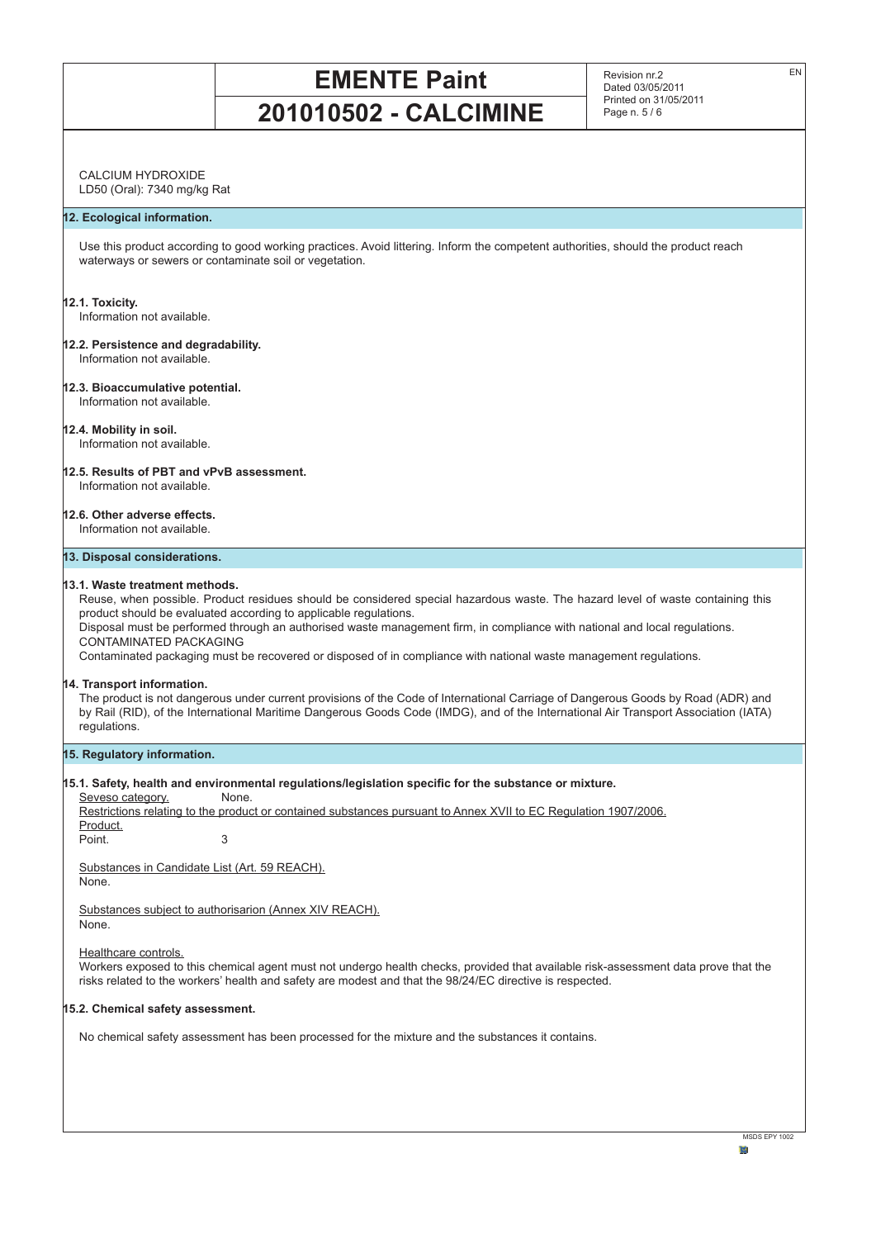Revision nr.2 Dated 03/05/2011 Printed on 31/05/2011 Page n. 5 / 6

EN

# CALCIUM HYDROXIDE

LD50 (Oral): 7340 mg/kg Rat

# **12. Ecological information.**

Use this product according to good working practices. Avoid littering. Inform the competent authorities, should the product reach waterways or sewers or contaminate soil or vegetation.

#### **12.1. Toxicity.**

Information not available.

**12.2. Persistence and degradability.** Information not available.

# **12.3. Bioaccumulative potential.**

Information not available.

# **12.4. Mobility in soil.**

Information not available.

#### **12.5. Results of PBT and vPvB assessment.** Information not available.

# **12.6. Other adverse effects.**

Information not available.

# **13. Disposal considerations.**

## **13.1. Waste treatment methods.**

Reuse, when possible. Product residues should be considered special hazardous waste. The hazard level of waste containing this product should be evaluated according to applicable regulations.

Disposal must be performed through an authorised waste management firm, in compliance with national and local regulations. CONTAMINATED PACKAGING

Contaminated packaging must be recovered or disposed of in compliance with national waste management regulations.

## **14. Transport information.**

The product is not dangerous under current provisions of the Code of International Carriage of Dangerous Goods by Road (ADR) and by Rail (RID), of the International Maritime Dangerous Goods Code (IMDG), and of the International Air Transport Association (IATA) regulations.

## **15. Regulatory information.**

# **15.1. Safety, health and environmental regulations/legislation specific for the substance or mixture.**

Seveso category.

Restrictions relating to the product or contained substances pursuant to Annex XVII to EC Regulation 1907/2006.

| Product. |  |
|----------|--|
| Point.   |  |

Substances in Candidate List (Art. 59 REACH). None.

Substances subject to authorisarion (Annex XIV REACH). None.

Healthcare controls.

Workers exposed to this chemical agent must not undergo health checks, provided that available risk-assessment data prove that the risks related to the workers' health and safety are modest and that the 98/24/EC directive is respected.

# **15.2. Chemical safety assessment.**

No chemical safety assessment has been processed for the mixture and the substances it contains.